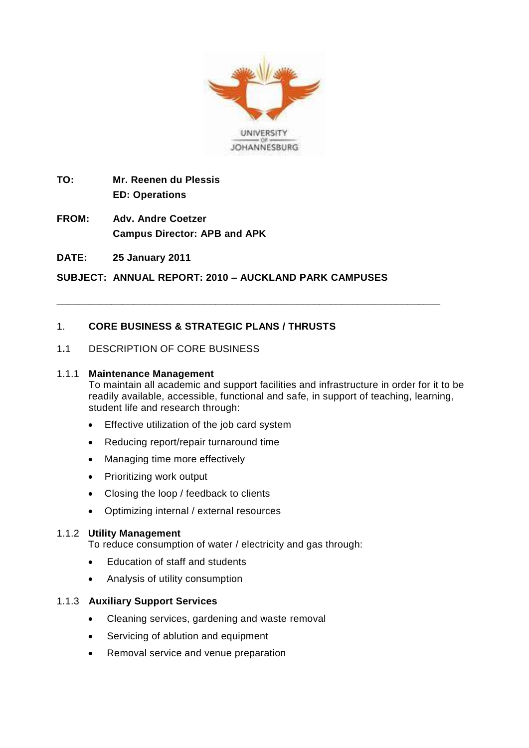

- **TO: Mr. Reenen du Plessis ED: Operations**
- **FROM: Adv. Andre Coetzer Campus Director: APB and APK**
- **DATE: 25 January 2011**

**SUBJECT: ANNUAL REPORT: 2010 – AUCKLAND PARK CAMPUSES**

\_\_\_\_\_\_\_\_\_\_\_\_\_\_\_\_\_\_\_\_\_\_\_\_\_\_\_\_\_\_\_\_\_\_\_\_\_\_\_\_\_\_\_\_\_\_\_\_\_\_\_\_\_\_\_\_\_\_\_\_\_\_\_\_\_\_\_\_\_\_

## 1. **CORE BUSINESS & STRATEGIC PLANS / THRUSTS**

### 1**.**1 DESCRIPTION OF CORE BUSINESS

#### 1.1.1 **Maintenance Management**

To maintain all academic and support facilities and infrastructure in order for it to be readily available, accessible, functional and safe, in support of teaching, learning, student life and research through:

- **Effective utilization of the job card system**
- Reducing report/repair turnaround time
- Managing time more effectively
- Prioritizing work output
- Closing the loop / feedback to clients
- Optimizing internal / external resources

#### 1.1.2 **Utility Management**

To reduce consumption of water / electricity and gas through:

- Education of staff and students
- Analysis of utility consumption

#### 1.1.3 **Auxiliary Support Services**

- Cleaning services, gardening and waste removal
- Servicing of ablution and equipment
- Removal service and venue preparation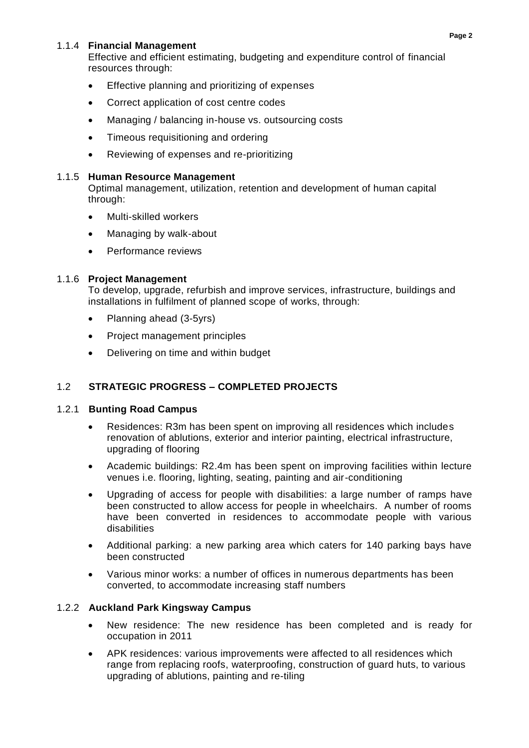## 1.1.4 **Financial Management**

Effective and efficient estimating, budgeting and expenditure control of financial resources through:

- **Effective planning and prioritizing of expenses**
- Correct application of cost centre codes
- Managing / balancing in-house vs. outsourcing costs
- Timeous requisitioning and ordering
- Reviewing of expenses and re-prioritizing

### 1.1.5 **Human Resource Management**

Optimal management, utilization, retention and development of human capital through:

- Multi-skilled workers
- Managing by walk-about
- Performance reviews

### 1.1.6 **Project Management**

To develop, upgrade, refurbish and improve services, infrastructure, buildings and installations in fulfilment of planned scope of works, through:

- Planning ahead (3-5yrs)
- Project management principles
- Delivering on time and within budget

## 1.2 **STRATEGIC PROGRESS – COMPLETED PROJECTS**

### 1.2.1 **Bunting Road Campus**

- Residences: R3m has been spent on improving all residences which includes renovation of ablutions, exterior and interior painting, electrical infrastructure, upgrading of flooring
- Academic buildings: R2.4m has been spent on improving facilities within lecture venues i.e. flooring, lighting, seating, painting and air-conditioning
- Upgrading of access for people with disabilities: a large number of ramps have been constructed to allow access for people in wheelchairs. A number of rooms have been converted in residences to accommodate people with various disabilities
- Additional parking: a new parking area which caters for 140 parking bays have been constructed
- Various minor works: a number of offices in numerous departments has been converted, to accommodate increasing staff numbers

### 1.2.2 **Auckland Park Kingsway Campus**

- New residence: The new residence has been completed and is ready for occupation in 2011
- APK residences: various improvements were affected to all residences which range from replacing roofs, waterproofing, construction of guard huts, to various upgrading of ablutions, painting and re-tiling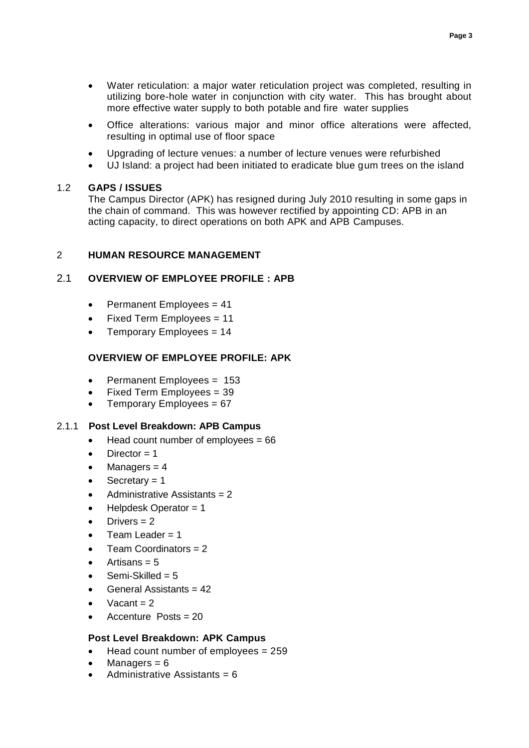- Water reticulation: a major water reticulation project was completed, resulting in utilizing bore-hole water in conjunction with city water. This has brought about more effective water supply to both potable and fire water supplies
- Office alterations: various major and minor office alterations were affected, resulting in optimal use of floor space
- Upgrading of lecture venues: a number of lecture venues were refurbished
- UJ Island: a project had been initiated to eradicate blue gum trees on the island

### 1.2 **GAPS / ISSUES**

The Campus Director (APK) has resigned during July 2010 resulting in some gaps in the chain of command. This was however rectified by appointing CD: APB in an acting capacity, to direct operations on both APK and APB Campuses.

#### 2 **HUMAN RESOURCE MANAGEMENT**

## 2.1 **OVERVIEW OF EMPLOYEE PROFILE : APB**

- $\bullet$  Permanent Employees = 41
- Fixed Term Employees = 11
- Temporary Employees = 14

## **OVERVIEW OF EMPLOYEE PROFILE: APK**

- Permanent Employees = 153
- Fixed Term Employees = 39
- Temporary Employees = 67

### 2.1.1 **Post Level Breakdown: APB Campus**

- $\bullet$  Head count number of employees = 66
- Director  $= 1$
- Managers  $= 4$
- Secretary  $= 1$
- Administrative Assistants = 2
- Helpdesk Operator = 1
- Drivers  $= 2$
- Team Leader  $= 1$
- Team Coordinators = 2
- Artisans  $= 5$
- Semi-Skilled = 5
- General Assistants = 42
- Vacant  $= 2$
- Accenture Posts = 20

### **Post Level Breakdown: APK Campus**

- Head count number of employees = 259
- Managers  $= 6$
- Administrative Assistants = 6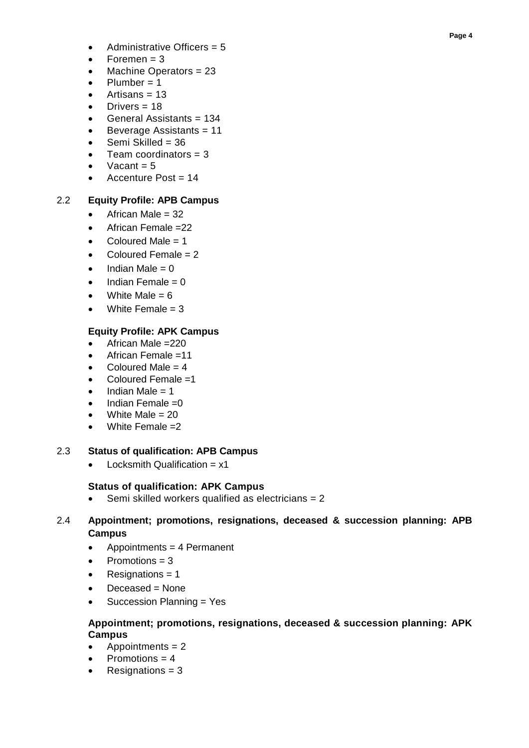- Administrative Officers = 5
- Foremen  $= 3$
- Machine Operators = 23
- Plumber = 1
- Artisans  $= 13$
- Drivers  $= 18$
- General Assistants = 134
- Beverage Assistants = 11
- Semi Skilled = 36
- Team coordinators  $= 3$
- Vacant  $= 5$
- Accenture Post = 14

# 2.2 **Equity Profile: APB Campus**

- African Male = 32
- $\bullet$  African Female = 22
- Coloured Male  $= 1$
- Coloured Female = 2
- Indian Male = 0
- Indian Female = 0
- White Male  $= 6$
- White Female  $= 3$

# **Equity Profile: APK Campus**

- African Male =220
- African Female =11
- Coloured Male  $= 4$
- Coloured Female =1
- Indian Male = 1
- Indian Female =0
- White Male  $= 20$
- White Female =2

## 2.3 **Status of qualification: APB Campus**

 $\bullet$  Locksmith Qualification =  $x1$ 

# **Status of qualification: APK Campus**

Semi skilled workers qualified as electricians = 2

# 2.4 **Appointment; promotions, resignations, deceased & succession planning: APB Campus**

- Appointments = 4 Permanent
- Promotions = 3
- Resignations  $= 1$
- Deceased = None
- Succession Planning = Yes

## **Appointment; promotions, resignations, deceased & succession planning: APK Campus**

- Appointments = 2
- Promotions = 4
- Resignations = 3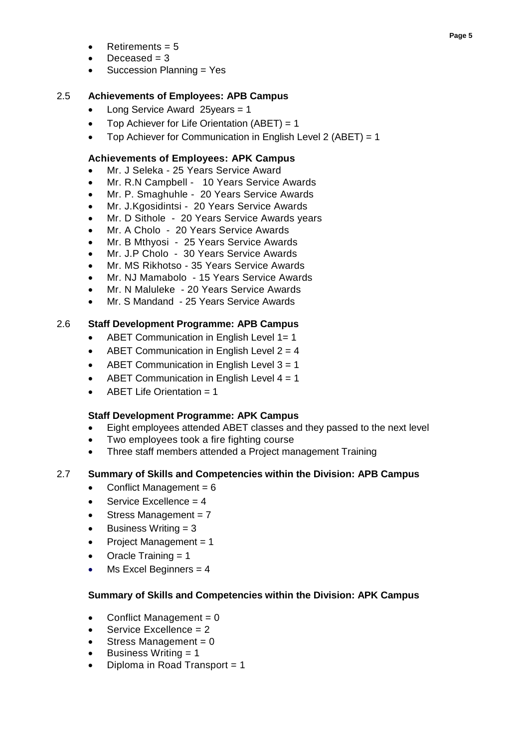- Retirements  $= 5$
- Deceased  $=$  3
- Succession Planning = Yes

## 2.5 **Achievements of Employees: APB Campus**

- Long Service Award 25years = 1
- Top Achiever for Life Orientation  $(ABET) = 1$
- Top Achiever for Communication in English Level 2 (ABET) = 1

### **Achievements of Employees: APK Campus**

- Mr. J Seleka 25 Years Service Award
- Mr. R.N Campbell 10 Years Service Awards
- Mr. P. Smaghuhle 20 Years Service Awards
- Mr. J.Kgosidintsi 20 Years Service Awards
- Mr. D Sithole 20 Years Service Awards years
- Mr. A Cholo 20 Years Service Awards
- Mr. B Mthyosi 25 Years Service Awards
- Mr. J.P Cholo 30 Years Service Awards
- Mr. MS Rikhotso 35 Years Service Awards
- Mr. NJ Mamabolo 15 Years Service Awards
- Mr. N Maluleke 20 Years Service Awards
- Mr. S Mandand 25 Years Service Awards

## 2.6 **Staff Development Programme: APB Campus**

- ABET Communication in English Level 1= 1
- ABET Communication in English Level 2 = 4
- ABET Communication in English Level 3 = 1
- ABET Communication in English Level 4 = 1
- ABET Life Orientation  $= 1$

## **Staff Development Programme: APK Campus**

- Eight employees attended ABET classes and they passed to the next level
- Two employees took a fire fighting course
- Three staff members attended a Project management Training

## 2.7 **Summary of Skills and Competencies within the Division: APB Campus**

- Conflict Management =  $6$
- Service Excellence = 4
- Stress Management = 7
- Business Writing = 3
- Project Management = 1
- Oracle Training = 1
- Ms Excel Beginners  $= 4$

### **Summary of Skills and Competencies within the Division: APK Campus**

- Conflict Management = 0
- Service Excellence = 2
- Stress Management =  $0$
- Business Writing = 1
- Diploma in Road Transport = 1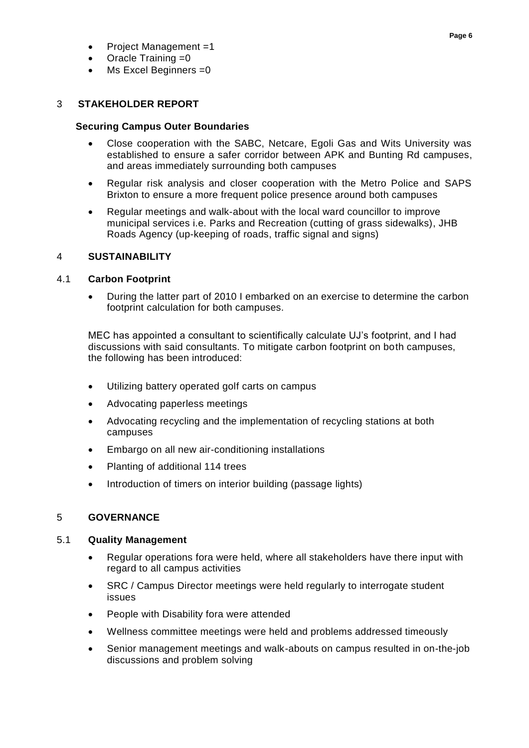- Project Management =1
- Oracle Training =0
- Ms Excel Beginners =0

## 3 **STAKEHOLDER REPORT**

### **Securing Campus Outer Boundaries**

- Close cooperation with the SABC, Netcare, Egoli Gas and Wits University was established to ensure a safer corridor between APK and Bunting Rd campuses, and areas immediately surrounding both campuses
- Regular risk analysis and closer cooperation with the Metro Police and SAPS Brixton to ensure a more frequent police presence around both campuses
- Regular meetings and walk-about with the local ward councillor to improve municipal services i.e. Parks and Recreation (cutting of grass sidewalks), JHB Roads Agency (up-keeping of roads, traffic signal and signs)

### 4 **SUSTAINABILITY**

### 4.1 **Carbon Footprint**

 During the latter part of 2010 I embarked on an exercise to determine the carbon footprint calculation for both campuses.

MEC has appointed a consultant to scientifically calculate UJ's footprint, and I had discussions with said consultants. To mitigate carbon footprint on both campuses, the following has been introduced:

- Utilizing battery operated golf carts on campus
- Advocating paperless meetings
- Advocating recycling and the implementation of recycling stations at both campuses
- Embargo on all new air-conditioning installations
- Planting of additional 114 trees
- Introduction of timers on interior building (passage lights)

### 5 **GOVERNANCE**

### 5.1 **Quality Management**

- Regular operations fora were held, where all stakeholders have there input with regard to all campus activities
- SRC / Campus Director meetings were held regularly to interrogate student issues
- People with Disability fora were attended
- Wellness committee meetings were held and problems addressed timeously
- Senior management meetings and walk-abouts on campus resulted in on-the-job discussions and problem solving